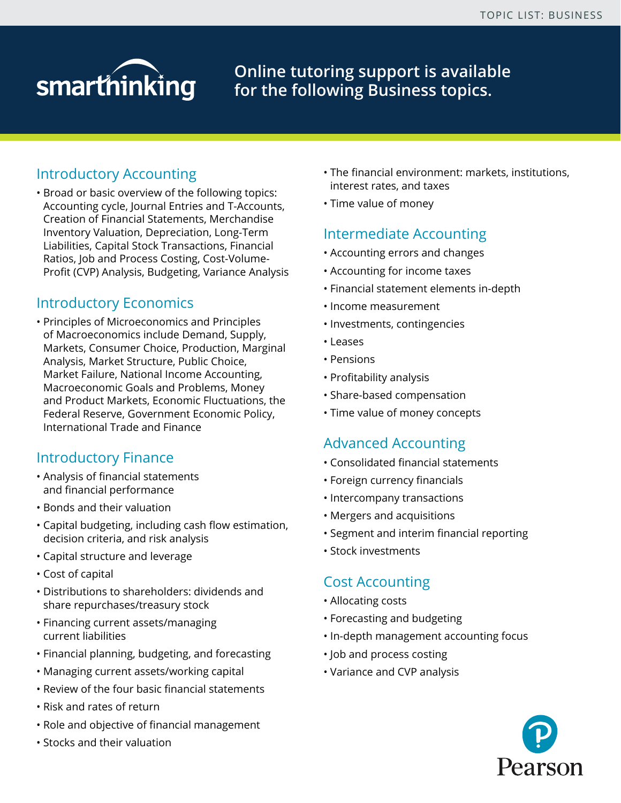

# **Online tutoring support is available for the following Business topics.**

## Introductory Accounting

• Broad or basic overview of the following topics: Accounting cycle, Journal Entries and T-Accounts, Creation of Financial Statements, Merchandise Inventory Valuation, Depreciation, Long-Term Liabilities, Capital Stock Transactions, Financial Ratios, Job and Process Costing, Cost-Volume-Profit (CVP) Analysis, Budgeting, Variance Analysis

## Introductory Economics

• Principles of Microeconomics and Principles of Macroeconomics include Demand, Supply, Markets, Consumer Choice, Production, Marginal Analysis, Market Structure, Public Choice, Market Failure, National Income Accounting, Macroeconomic Goals and Problems, Money and Product Markets, Economic Fluctuations, the Federal Reserve, Government Economic Policy, International Trade and Finance

# Introductory Finance

- Analysis of financial statements and financial performance
- Bonds and their valuation
- Capital budgeting, including cash flow estimation, decision criteria, and risk analysis
- Capital structure and leverage
- Cost of capital
- Distributions to shareholders: dividends and share repurchases/treasury stock
- Financing current assets/managing current liabilities
- Financial planning, budgeting, and forecasting
- Managing current assets/working capital
- Review of the four basic financial statements
- Risk and rates of return
- Role and objective of financial management
- Stocks and their valuation
- The financial environment: markets, institutions, interest rates, and taxes
- Time value of money

# Intermediate Accounting

- Accounting errors and changes
- Accounting for income taxes
- Financial statement elements in-depth
- Income measurement
- Investments, contingencies
- Leases
- Pensions
- Profitability analysis
- Share-based compensation
- Time value of money concepts

# Advanced Accounting

- Consolidated financial statements
- Foreign currency financials
- Intercompany transactions
- Mergers and acquisitions
- Segment and interim financial reporting
- Stock investments

# Cost Accounting

- Allocating costs
- Forecasting and budgeting
- In-depth management accounting focus
- Job and process costing
- Variance and CVP analysis